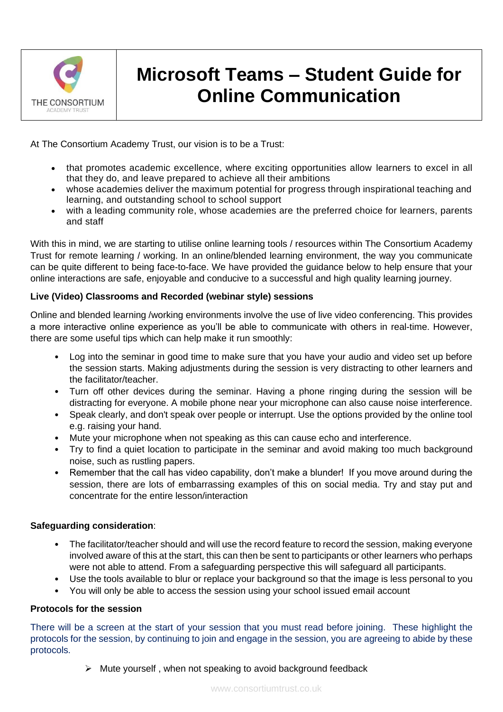

# **Microsoft Teams – Student Guide for Online Communication**

At The Consortium Academy Trust, our vision is to be a Trust:

- that promotes academic excellence, where exciting opportunities allow learners to excel in all that they do, and leave prepared to achieve all their ambitions
- whose academies deliver the maximum potential for progress through inspirational teaching and learning, and outstanding school to school support
- with a leading community role, whose academies are the preferred choice for learners, parents and staff

With this in mind, we are starting to utilise online learning tools / resources within The Consortium Academy Trust for remote learning / working. In an online/blended learning environment, the way you communicate can be quite different to being face-to-face. We have provided the guidance below to help ensure that your online interactions are safe, enjoyable and conducive to a successful and high quality learning journey.

## **Live (Video) Classrooms and Recorded (webinar style) sessions**

Online and blended learning /working environments involve the use of live video conferencing. This provides a more interactive online experience as you'll be able to communicate with others in real-time. However, there are some useful tips which can help make it run smoothly:

- Log into the seminar in good time to make sure that you have your audio and video set up before the session starts. Making adjustments during the session is very distracting to other learners and the facilitator/teacher.
- Turn off other devices during the seminar. Having a phone ringing during the session will be distracting for everyone. A mobile phone near your microphone can also cause noise interference.
- Speak clearly, and don't speak over people or interrupt. Use the options provided by the online tool e.g. raising your hand.
- Mute your microphone when not speaking as this can cause echo and interference.
- Try to find a quiet location to participate in the seminar and avoid making too much background noise, such as rustling papers.
- Remember that the call has video capability, don't make a blunder! If you move around during the session, there are lots of embarrassing examples of this on social media. Try and stay put and concentrate for the entire lesson/interaction

## **Safeguarding consideration**:

- The facilitator/teacher should and will use the record feature to record the session, making everyone involved aware of this at the start, this can then be sent to participants or other learners who perhaps were not able to attend. From a safeguarding perspective this will safeguard all participants.
- Use the tools available to blur or replace your background so that the image is less personal to you
- You will only be able to access the session using your school issued email account

## **Protocols for the session**

There will be a screen at the start of your session that you must read before joining. These highlight the protocols for the session, by continuing to join and engage in the session, you are agreeing to abide by these protocols.

 $\triangleright$  Mute yourself, when not speaking to avoid background feedback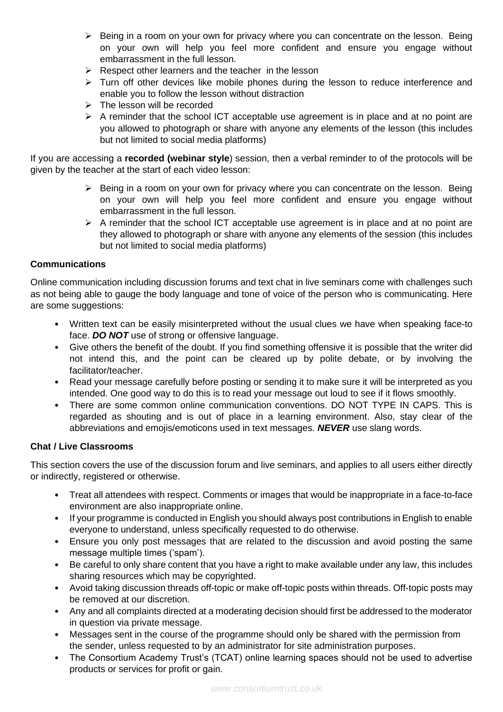- ➢ Being in a room on your own for privacy where you can concentrate on the lesson. Being on your own will help you feel more confident and ensure you engage without embarrassment in the full lesson.
- ➢ Respect other learners and the teacher in the lesson
- $\triangleright$  Turn off other devices like mobile phones during the lesson to reduce interference and enable you to follow the lesson without distraction
- ➢ The lesson will be recorded
- $\triangleright$  A reminder that the school ICT acceptable use agreement is in place and at no point are you allowed to photograph or share with anyone any elements of the lesson (this includes but not limited to social media platforms)

If you are accessing a **recorded (webinar style**) session, then a verbal reminder to of the protocols will be given by the teacher at the start of each video lesson:

- ➢ Being in a room on your own for privacy where you can concentrate on the lesson. Being on your own will help you feel more confident and ensure you engage without embarrassment in the full lesson.
- $\triangleright$  A reminder that the school ICT acceptable use agreement is in place and at no point are they allowed to photograph or share with anyone any elements of the session (this includes but not limited to social media platforms)

#### **Communications**

Online communication including discussion forums and text chat in live seminars come with challenges such as not being able to gauge the body language and tone of voice of the person who is communicating. Here are some suggestions:

- Written text can be easily misinterpreted without the usual clues we have when speaking face-to face. *DO NOT* use of strong or offensive language.
- Give others the benefit of the doubt. If you find something offensive it is possible that the writer did not intend this, and the point can be cleared up by polite debate, or by involving the facilitator/teacher.
- Read your message carefully before posting or sending it to make sure it will be interpreted as you intended. One good way to do this is to read your message out loud to see if it flows smoothly.
- There are some common online communication conventions. DO NOT TYPE IN CAPS. This is regarded as shouting and is out of place in a learning environment. Also, stay clear of the abbreviations and emojis/emoticons used in text messages. *NEVER* use slang words.

## **Chat / Live Classrooms**

This section covers the use of the discussion forum and live seminars, and applies to all users either directly or indirectly, registered or otherwise.

- Treat all attendees with respect. Comments or images that would be inappropriate in a face-to-face environment are also inappropriate online.
- If your programme is conducted in English you should always post contributions in English to enable everyone to understand, unless specifically requested to do otherwise.
- Ensure you only post messages that are related to the discussion and avoid posting the same message multiple times ('spam').
- Be careful to only share content that you have a right to make available under any law, this includes sharing resources which may be copyrighted.
- Avoid taking discussion threads off-topic or make off-topic posts within threads. Off-topic posts may be removed at our discretion.
- Any and all complaints directed at a moderating decision should first be addressed to the moderator in question via private message.
- Messages sent in the course of the programme should only be shared with the permission from the sender, unless requested to by an administrator for site administration purposes.
- The Consortium Academy Trust's (TCAT) online learning spaces should not be used to advertise products or services for profit or gain.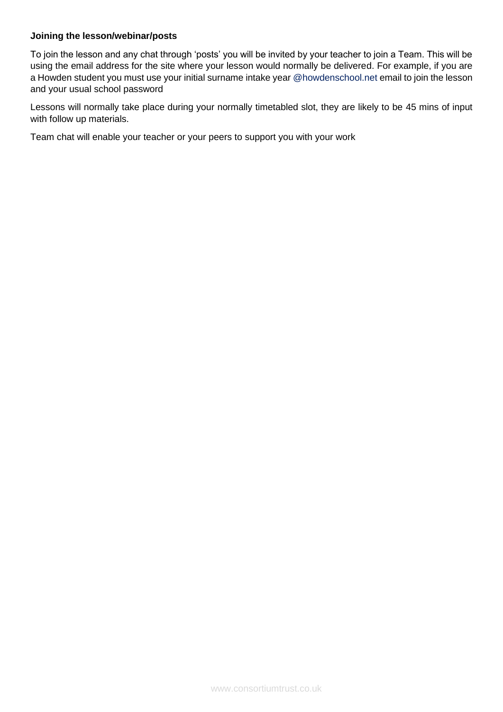#### **Joining the lesson/webinar/posts**

To join the lesson and any chat through 'posts' you will be invited by your teacher to join a Team. This will be using the email address for the site where your lesson would normally be delivered. For example, if you are a Howden student you must use your initial surname intake year @howdenschool.net email to join the lesson and your usual school password

Lessons will normally take place during your normally timetabled slot, they are likely to be 45 mins of input with follow up materials.

Team chat will enable your teacher or your peers to support you with your work